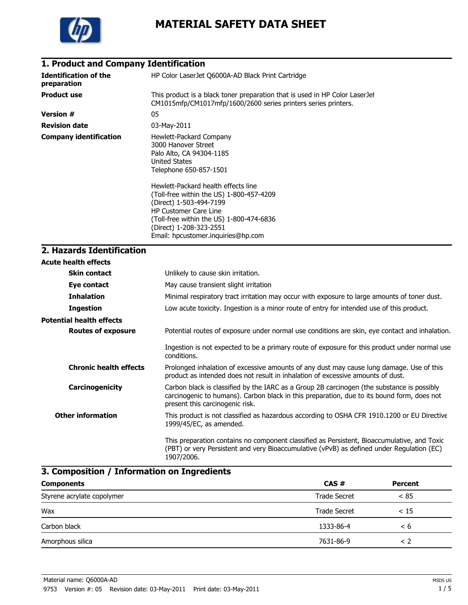

## **1. Product and Company Identification**

| <b>Identification of the</b><br>preparation | HP Color LaserJet Q6000A-AD Black Print Cartridge                                                                                                                                                                                                       |
|---------------------------------------------|---------------------------------------------------------------------------------------------------------------------------------------------------------------------------------------------------------------------------------------------------------|
| <b>Product use</b>                          | This product is a black toner preparation that is used in HP Color LaserJet<br>CM1015mfp/CM1017mfp/1600/2600 series printers series printers.                                                                                                           |
| <b>Version #</b>                            | 05                                                                                                                                                                                                                                                      |
| <b>Revision date</b>                        | 03-May-2011                                                                                                                                                                                                                                             |
| <b>Company identification</b>               | Hewlett-Packard Company<br>3000 Hanover Street<br>Palo Alto, CA 94304-1185<br>United States<br>Telephone 650-857-1501                                                                                                                                   |
|                                             | Hewlett-Packard health effects line<br>(Toll-free within the US) 1-800-457-4209<br>(Direct) 1-503-494-7199<br><b>HP Customer Care Line</b><br>(Toll-free within the US) 1-800-474-6836<br>(Direct) 1-208-323-2551<br>Email: hpcustomer.inquiries@hp.com |

# **2. Hazards Identification**

| <b>Acute health effects</b>     |                                                                                                                                                                                                                             |
|---------------------------------|-----------------------------------------------------------------------------------------------------------------------------------------------------------------------------------------------------------------------------|
| <b>Skin contact</b>             | Unlikely to cause skin irritation.                                                                                                                                                                                          |
| Eye contact                     | May cause transient slight irritation                                                                                                                                                                                       |
| <b>Inhalation</b>               | Minimal respiratory tract irritation may occur with exposure to large amounts of toner dust.                                                                                                                                |
| <b>Ingestion</b>                | Low acute toxicity. Ingestion is a minor route of entry for intended use of this product.                                                                                                                                   |
| <b>Potential health effects</b> |                                                                                                                                                                                                                             |
| <b>Routes of exposure</b>       | Potential routes of exposure under normal use conditions are skin, eye contact and inhalation.                                                                                                                              |
|                                 | Ingestion is not expected to be a primary route of exposure for this product under normal use<br>conditions.                                                                                                                |
| <b>Chronic health effects</b>   | Prolonged inhalation of excessive amounts of any dust may cause lung damage. Use of this<br>product as intended does not result in inhalation of excessive amounts of dust.                                                 |
| Carcinogenicity                 | Carbon black is classified by the IARC as a Group 2B carcinogen (the substance is possibly<br>carcinogenic to humans). Carbon black in this preparation, due to its bound form, does not<br>present this carcinogenic risk. |
| <b>Other information</b>        | This product is not classified as hazardous according to OSHA CFR 1910.1200 or EU Directive<br>1999/45/EC, as amended.                                                                                                      |
|                                 | This preparation contains no component classified as Persistent, Bioaccumulative, and Toxic<br>(PBT) or very Persistent and very Bioaccumulative (vPvB) as defined under Regulation (EC)<br>1907/2006.                      |

## **3. Composition / Information on Ingredients**

| <b>Components</b>          | CAS#                | Percent |
|----------------------------|---------------------|---------|
| Styrene acrylate copolymer | <b>Trade Secret</b> | < 85    |
| Wax                        | Trade Secret        | < 15    |
| Carbon black               | 1333-86-4           | < 6     |
| Amorphous silica           | 7631-86-9           | < 2     |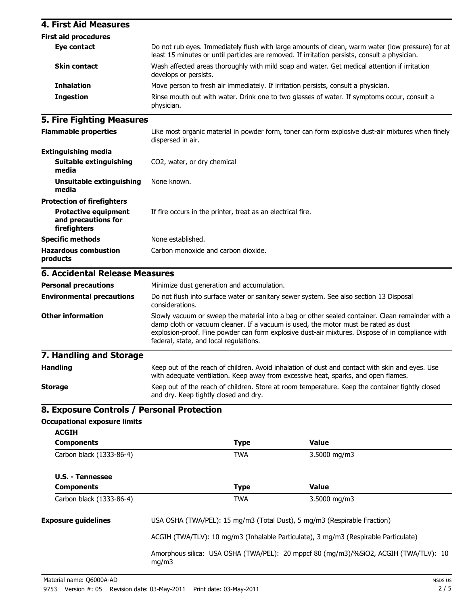| <b>4. First Aid Measures</b>                                       |                                                                                                                                          |             |                                                                                                                                                                                                                                                                                            |
|--------------------------------------------------------------------|------------------------------------------------------------------------------------------------------------------------------------------|-------------|--------------------------------------------------------------------------------------------------------------------------------------------------------------------------------------------------------------------------------------------------------------------------------------------|
| <b>First aid procedures</b>                                        |                                                                                                                                          |             |                                                                                                                                                                                                                                                                                            |
| Eye contact                                                        |                                                                                                                                          |             | Do not rub eyes. Immediately flush with large amounts of clean, warm water (low pressure) for at<br>least 15 minutes or until particles are removed. If irritation persists, consult a physician.                                                                                          |
| <b>Skin contact</b>                                                | develops or persists.                                                                                                                    |             | Wash affected areas thoroughly with mild soap and water. Get medical attention if irritation                                                                                                                                                                                               |
| <b>Inhalation</b>                                                  |                                                                                                                                          |             | Move person to fresh air immediately. If irritation persists, consult a physician.                                                                                                                                                                                                         |
| <b>Ingestion</b>                                                   | physician.                                                                                                                               |             | Rinse mouth out with water. Drink one to two glasses of water. If symptoms occur, consult a                                                                                                                                                                                                |
| <b>5. Fire Fighting Measures</b>                                   |                                                                                                                                          |             |                                                                                                                                                                                                                                                                                            |
| <b>Flammable properties</b>                                        | dispersed in air.                                                                                                                        |             | Like most organic material in powder form, toner can form explosive dust-air mixtures when finely                                                                                                                                                                                          |
| <b>Extinguishing media</b>                                         |                                                                                                                                          |             |                                                                                                                                                                                                                                                                                            |
| <b>Suitable extinguishing</b><br>media                             | CO2, water, or dry chemical                                                                                                              |             |                                                                                                                                                                                                                                                                                            |
| <b>Unsuitable extinguishing</b><br>media                           | None known.                                                                                                                              |             |                                                                                                                                                                                                                                                                                            |
| <b>Protection of firefighters</b>                                  |                                                                                                                                          |             |                                                                                                                                                                                                                                                                                            |
| <b>Protective equipment</b><br>and precautions for<br>firefighters | If fire occurs in the printer, treat as an electrical fire.                                                                              |             |                                                                                                                                                                                                                                                                                            |
| <b>Specific methods</b>                                            | None established.                                                                                                                        |             |                                                                                                                                                                                                                                                                                            |
| <b>Hazardous combustion</b><br>products                            | Carbon monoxide and carbon dioxide.                                                                                                      |             |                                                                                                                                                                                                                                                                                            |
| <b>6. Accidental Release Measures</b>                              |                                                                                                                                          |             |                                                                                                                                                                                                                                                                                            |
| <b>Personal precautions</b>                                        | Minimize dust generation and accumulation.                                                                                               |             |                                                                                                                                                                                                                                                                                            |
| <b>Environmental precautions</b>                                   | considerations.                                                                                                                          |             | Do not flush into surface water or sanitary sewer system. See also section 13 Disposal                                                                                                                                                                                                     |
| <b>Other information</b>                                           | federal, state, and local regulations.                                                                                                   |             | Slowly vacuum or sweep the material into a bag or other sealed container. Clean remainder with a<br>damp cloth or vacuum cleaner. If a vacuum is used, the motor must be rated as dust<br>explosion-proof. Fine powder can form explosive dust-air mixtures. Dispose of in compliance with |
| 7. Handling and Storage                                            |                                                                                                                                          |             |                                                                                                                                                                                                                                                                                            |
| <b>Handling</b>                                                    |                                                                                                                                          |             | Keep out of the reach of children. Avoid inhalation of dust and contact with skin and eyes. Use<br>with adequate ventilation. Keep away from excessive heat, sparks, and open flames.                                                                                                      |
| <b>Storage</b>                                                     | Keep out of the reach of children. Store at room temperature. Keep the container tightly closed<br>and dry. Keep tightly closed and dry. |             |                                                                                                                                                                                                                                                                                            |
| 8. Exposure Controls / Personal Protection                         |                                                                                                                                          |             |                                                                                                                                                                                                                                                                                            |
| <b>Occupational exposure limits</b>                                |                                                                                                                                          |             |                                                                                                                                                                                                                                                                                            |
| <b>ACGIH</b>                                                       |                                                                                                                                          |             |                                                                                                                                                                                                                                                                                            |
| <b>Components</b>                                                  |                                                                                                                                          | <b>Type</b> | <b>Value</b>                                                                                                                                                                                                                                                                               |
| Carbon black (1333-86-4)                                           |                                                                                                                                          | <b>TWA</b>  | 3.5000 mg/m3                                                                                                                                                                                                                                                                               |
| <b>U.S. - Tennessee</b>                                            |                                                                                                                                          |             |                                                                                                                                                                                                                                                                                            |
| <b>Components</b>                                                  |                                                                                                                                          | <b>Type</b> | <b>Value</b>                                                                                                                                                                                                                                                                               |
| Carbon black (1333-86-4)                                           |                                                                                                                                          | <b>TWA</b>  | 3.5000 mg/m3                                                                                                                                                                                                                                                                               |
| <b>Exposure guidelines</b>                                         | USA OSHA (TWA/PEL): 15 mg/m3 (Total Dust), 5 mg/m3 (Respirable Fraction)                                                                 |             |                                                                                                                                                                                                                                                                                            |
|                                                                    |                                                                                                                                          |             | ACGIH (TWA/TLV): 10 mg/m3 (Inhalable Particulate), 3 mg/m3 (Respirable Particulate)                                                                                                                                                                                                        |
|                                                                    | mg/m3                                                                                                                                    |             | Amorphous silica: USA OSHA (TWA/PEL): 20 mppcf 80 (mg/m3)/%SiO2, ACGIH (TWA/TLV): 10                                                                                                                                                                                                       |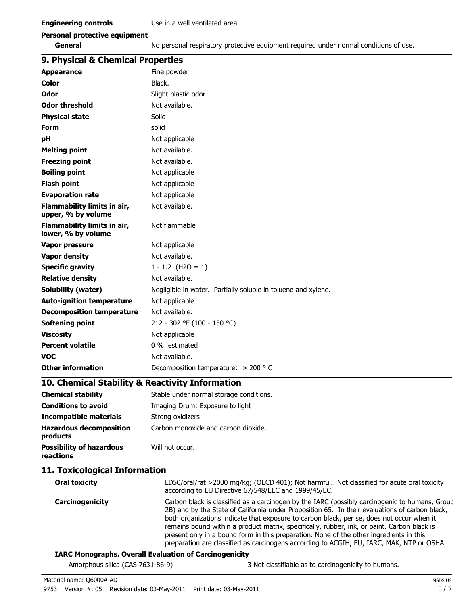|  |  | <b>Personal protective equipment</b> |
|--|--|--------------------------------------|
|--|--|--------------------------------------|

**General** No personal respiratory protective equipment required under normal conditions of use.

### **9. Physical & Chemical Properties**

| 9. Physical & Chemical Properties                 |                                                                                                                                                                                                                                                                                                                                                                                                                                                                                         |
|---------------------------------------------------|-----------------------------------------------------------------------------------------------------------------------------------------------------------------------------------------------------------------------------------------------------------------------------------------------------------------------------------------------------------------------------------------------------------------------------------------------------------------------------------------|
| <b>Appearance</b>                                 | Fine powder                                                                                                                                                                                                                                                                                                                                                                                                                                                                             |
| Color                                             | Black.                                                                                                                                                                                                                                                                                                                                                                                                                                                                                  |
| Odor                                              | Slight plastic odor                                                                                                                                                                                                                                                                                                                                                                                                                                                                     |
| <b>Odor threshold</b>                             | Not available.                                                                                                                                                                                                                                                                                                                                                                                                                                                                          |
| <b>Physical state</b>                             | Solid                                                                                                                                                                                                                                                                                                                                                                                                                                                                                   |
| <b>Form</b>                                       | solid                                                                                                                                                                                                                                                                                                                                                                                                                                                                                   |
| рH                                                | Not applicable                                                                                                                                                                                                                                                                                                                                                                                                                                                                          |
| <b>Melting point</b>                              | Not available.                                                                                                                                                                                                                                                                                                                                                                                                                                                                          |
| <b>Freezing point</b>                             | Not available.                                                                                                                                                                                                                                                                                                                                                                                                                                                                          |
| <b>Boiling point</b>                              | Not applicable                                                                                                                                                                                                                                                                                                                                                                                                                                                                          |
| <b>Flash point</b>                                | Not applicable                                                                                                                                                                                                                                                                                                                                                                                                                                                                          |
| <b>Evaporation rate</b>                           | Not applicable                                                                                                                                                                                                                                                                                                                                                                                                                                                                          |
| Flammability limits in air,<br>upper, % by volume | Not available.                                                                                                                                                                                                                                                                                                                                                                                                                                                                          |
| Flammability limits in air,<br>lower, % by volume | Not flammable                                                                                                                                                                                                                                                                                                                                                                                                                                                                           |
| <b>Vapor pressure</b>                             | Not applicable                                                                                                                                                                                                                                                                                                                                                                                                                                                                          |
| <b>Vapor density</b>                              | Not available.                                                                                                                                                                                                                                                                                                                                                                                                                                                                          |
| <b>Specific gravity</b>                           | $1 - 1.2$ (H2O = 1)                                                                                                                                                                                                                                                                                                                                                                                                                                                                     |
| <b>Relative density</b>                           | Not available.                                                                                                                                                                                                                                                                                                                                                                                                                                                                          |
| Solubility (water)                                | Negligible in water. Partially soluble in toluene and xylene.                                                                                                                                                                                                                                                                                                                                                                                                                           |
| <b>Auto-ignition temperature</b>                  | Not applicable                                                                                                                                                                                                                                                                                                                                                                                                                                                                          |
| <b>Decomposition temperature</b>                  | Not available.                                                                                                                                                                                                                                                                                                                                                                                                                                                                          |
| Softening point                                   | 212 - 302 °F (100 - 150 °C)                                                                                                                                                                                                                                                                                                                                                                                                                                                             |
| <b>Viscosity</b>                                  | Not applicable                                                                                                                                                                                                                                                                                                                                                                                                                                                                          |
| <b>Percent volatile</b>                           | 0 % estimated                                                                                                                                                                                                                                                                                                                                                                                                                                                                           |
| <b>VOC</b>                                        | Not available.                                                                                                                                                                                                                                                                                                                                                                                                                                                                          |
| <b>Other information</b>                          | Decomposition temperature: $>$ 200 ° C                                                                                                                                                                                                                                                                                                                                                                                                                                                  |
| 10. Chemical Stability & Reactivity Information   |                                                                                                                                                                                                                                                                                                                                                                                                                                                                                         |
| <b>Chemical stability</b>                         | Stable under normal storage conditions.                                                                                                                                                                                                                                                                                                                                                                                                                                                 |
| <b>Conditions to avoid</b>                        | Imaging Drum: Exposure to light                                                                                                                                                                                                                                                                                                                                                                                                                                                         |
| <b>Incompatible materials</b>                     | Strong oxidizers                                                                                                                                                                                                                                                                                                                                                                                                                                                                        |
| <b>Hazardous decomposition</b><br>products        | Carbon monoxide and carbon dioxide.                                                                                                                                                                                                                                                                                                                                                                                                                                                     |
| <b>Possibility of hazardous</b><br>reactions      | Will not occur.                                                                                                                                                                                                                                                                                                                                                                                                                                                                         |
| 11. Toxicological Information                     |                                                                                                                                                                                                                                                                                                                                                                                                                                                                                         |
| <b>Oral toxicity</b>                              | LD50/oral/rat >2000 mg/kg; (OECD 401); Not harmful Not classified for acute oral toxicity<br>according to EU Directive 67/548/EEC and 1999/45/EC.                                                                                                                                                                                                                                                                                                                                       |
| Carcinogenicity                                   | Carbon black is classified as a carcinogen by the IARC (possibly carcinogenic to humans, Group<br>2B) and by the State of California under Proposition 65. In their evaluations of carbon black,<br>both organizations indicate that exposure to carbon black, per se, does not occur when it<br>remains bound within a product matrix, specifically, rubber, ink, or paint. Carbon black is<br>present only in a bound form in this preparation. None of the other ingredients in this |

preparation are classified as carcinogens according to ACGIH, EU, IARC, MAK, NTP or OSHA.

### **IARC Monographs. Overall Evaluation of Carcinogenicity**

| Amorphous silica (CAS 7631-86-9) | 3 Not classifiable as to carcinogenicity to humans. |
|----------------------------------|-----------------------------------------------------|
|----------------------------------|-----------------------------------------------------|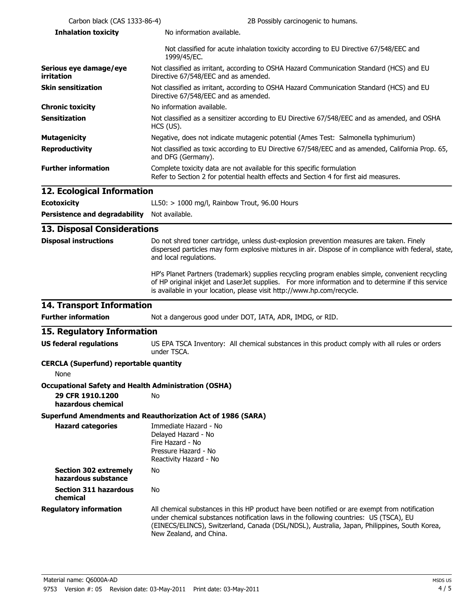| Carbon black (CAS 1333-86-4)                                | 2B Possibly carcinogenic to humans.                                                                                                                                                                                                                                                                               |
|-------------------------------------------------------------|-------------------------------------------------------------------------------------------------------------------------------------------------------------------------------------------------------------------------------------------------------------------------------------------------------------------|
| <b>Inhalation toxicity</b>                                  | No information available.                                                                                                                                                                                                                                                                                         |
|                                                             | Not classified for acute inhalation toxicity according to EU Directive 67/548/EEC and<br>1999/45/EC.                                                                                                                                                                                                              |
| Serious eye damage/eye<br>irritation                        | Not classified as irritant, according to OSHA Hazard Communication Standard (HCS) and EU<br>Directive 67/548/EEC and as amended.                                                                                                                                                                                  |
| <b>Skin sensitization</b>                                   | Not classified as irritant, according to OSHA Hazard Communication Standard (HCS) and EU<br>Directive 67/548/EEC and as amended.                                                                                                                                                                                  |
| <b>Chronic toxicity</b>                                     | No information available.                                                                                                                                                                                                                                                                                         |
| <b>Sensitization</b>                                        | Not classified as a sensitizer according to EU Directive 67/548/EEC and as amended, and OSHA<br>HCS (US).                                                                                                                                                                                                         |
| <b>Mutagenicity</b>                                         | Negative, does not indicate mutagenic potential (Ames Test: Salmonella typhimurium)                                                                                                                                                                                                                               |
| <b>Reproductivity</b>                                       | Not classified as toxic according to EU Directive 67/548/EEC and as amended, California Prop. 65,<br>and DFG (Germany).                                                                                                                                                                                           |
| <b>Further information</b>                                  | Complete toxicity data are not available for this specific formulation<br>Refer to Section 2 for potential health effects and Section 4 for first aid measures.                                                                                                                                                   |
| 12. Ecological Information                                  |                                                                                                                                                                                                                                                                                                                   |
| <b>Ecotoxicity</b>                                          | LL50: $> 1000$ mg/l, Rainbow Trout, 96.00 Hours                                                                                                                                                                                                                                                                   |
| <b>Persistence and degradability</b>                        | Not available.                                                                                                                                                                                                                                                                                                    |
| <b>13. Disposal Considerations</b>                          |                                                                                                                                                                                                                                                                                                                   |
| <b>Disposal instructions</b>                                | Do not shred toner cartridge, unless dust-explosion prevention measures are taken. Finely<br>dispersed particles may form explosive mixtures in air. Dispose of in compliance with federal, state,<br>and local regulations.                                                                                      |
|                                                             | HP's Planet Partners (trademark) supplies recycling program enables simple, convenient recycling<br>of HP original inkjet and LaserJet supplies. For more information and to determine if this service<br>is available in your location, please visit http://www.hp.com/recycle.                                  |
| <b>14. Transport Information</b>                            |                                                                                                                                                                                                                                                                                                                   |
| <b>Further information</b>                                  | Not a dangerous good under DOT, IATA, ADR, IMDG, or RID.                                                                                                                                                                                                                                                          |
| 15. Regulatory Information                                  |                                                                                                                                                                                                                                                                                                                   |
| <b>US federal regulations</b>                               | US EPA TSCA Inventory: All chemical substances in this product comply with all rules or orders<br>under TSCA.                                                                                                                                                                                                     |
| <b>CERCLA (Superfund) reportable quantity</b><br>None       |                                                                                                                                                                                                                                                                                                                   |
| <b>Occupational Safety and Health Administration (OSHA)</b> |                                                                                                                                                                                                                                                                                                                   |
| 29 CFR 1910.1200<br>hazardous chemical                      | No                                                                                                                                                                                                                                                                                                                |
|                                                             | <b>Superfund Amendments and Reauthorization Act of 1986 (SARA)</b>                                                                                                                                                                                                                                                |
| <b>Hazard categories</b>                                    | Immediate Hazard - No<br>Delayed Hazard - No<br>Fire Hazard - No<br>Pressure Hazard - No<br>Reactivity Hazard - No                                                                                                                                                                                                |
| <b>Section 302 extremely</b><br>hazardous substance         | No                                                                                                                                                                                                                                                                                                                |
| <b>Section 311 hazardous</b><br>chemical                    | No                                                                                                                                                                                                                                                                                                                |
| <b>Regulatory information</b>                               | All chemical substances in this HP product have been notified or are exempt from notification<br>under chemical substances notification laws in the following countries: US (TSCA), EU<br>(EINECS/ELINCS), Switzerland, Canada (DSL/NDSL), Australia, Japan, Philippines, South Korea,<br>New Zealand, and China. |